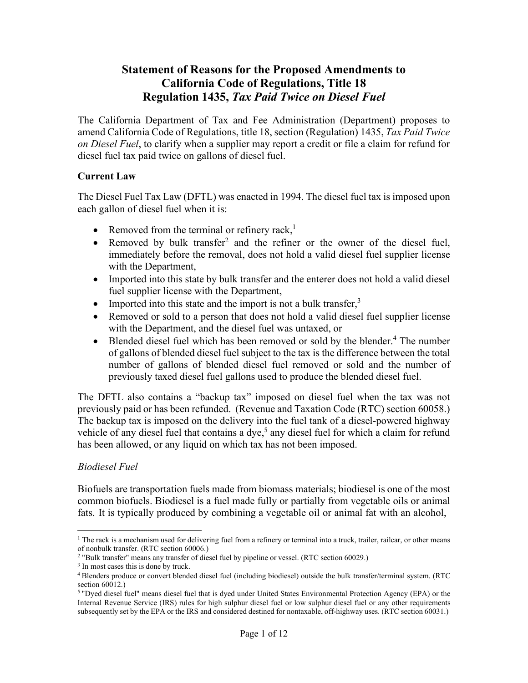# **Statement of Reasons for the Proposed Amendments to California Code of Regulations, Title 18 Regulation 1435,** *Tax Paid Twice on Diesel Fuel*

The California Department of Tax and Fee Administration (Department) proposes to amend California Code of Regulations, title 18, section (Regulation) 1435, *Tax Paid Twice on Diesel Fuel*, to clarify when a supplier may report a credit or file a claim for refund for diesel fuel tax paid twice on gallons of diesel fuel.

### **Current Law**

The Diesel Fuel Tax Law (DFTL) was enacted in 1994. The diesel fuel tax is imposed upon each gallon of diesel fuel when it is:

- Removed from the terminal or refinery rack, $<sup>1</sup>$ </sup>
- Removed by bulk transfer<sup>2</sup> and the refiner or the owner of the diesel fuel, immediately before the removal, does not hold a valid diesel fuel supplier license with the Department,
- Imported into this state by bulk transfer and the enterer does not hold a valid diesel fuel supplier license with the Department,
- Imported into this state and the import is not a bulk transfer, $3$
- Removed or sold to a person that does not hold a valid diesel fuel supplier license with the Department, and the diesel fuel was untaxed, or
- Blended diesel fuel which has been removed or sold by the blender.<sup>4</sup> The number of gallons of blended diesel fuel subject to the tax is the difference between the total number of gallons of blended diesel fuel removed or sold and the number of previously taxed diesel fuel gallons used to produce the blended diesel fuel.

The DFTL also contains a "backup tax" imposed on diesel fuel when the tax was not previously paid or has been refunded. (Revenue and Taxation Code (RTC) section 60058.) The backup tax is imposed on the delivery into the fuel tank of a diesel-powered highway vehicle of any diesel fuel that contains a dye,<sup>5</sup> any diesel fuel for which a claim for refund has been allowed, or any liquid on which tax has not been imposed.

## *Biodiesel Fuel*

Biofuels are transportation fuels made from biomass materials; biodiesel is one of the most common biofuels. Biodiesel is a fuel made fully or partially from vegetable oils or animal fats. It is typically produced by combining a vegetable oil or animal fat with an alcohol,

<sup>&</sup>lt;sup>1</sup> The rack is a mechanism used for delivering fuel from a refinery or terminal into a truck, trailer, railcar, or other means of nonbulk transfer. (RTC section 60006.)

<sup>2 &</sup>quot;Bulk transfer" means any transfer of diesel fuel by pipeline or vessel. (RTC section 60029.)

<sup>&</sup>lt;sup>3</sup> In most cases this is done by truck.

<sup>4</sup> Blenders produce or convert blended diesel fuel (including biodiesel) outside the bulk transfer/terminal system. (RTC section 60012.)

<sup>5 &</sup>quot;Dyed diesel fuel" means diesel fuel that is dyed under United States Environmental Protection Agency (EPA) or the Internal Revenue Service (IRS) rules for high sulphur diesel fuel or low sulphur diesel fuel or any other requirements subsequently set by the EPA or the IRS and considered destined for nontaxable, off-highway uses. (RTC section 60031.)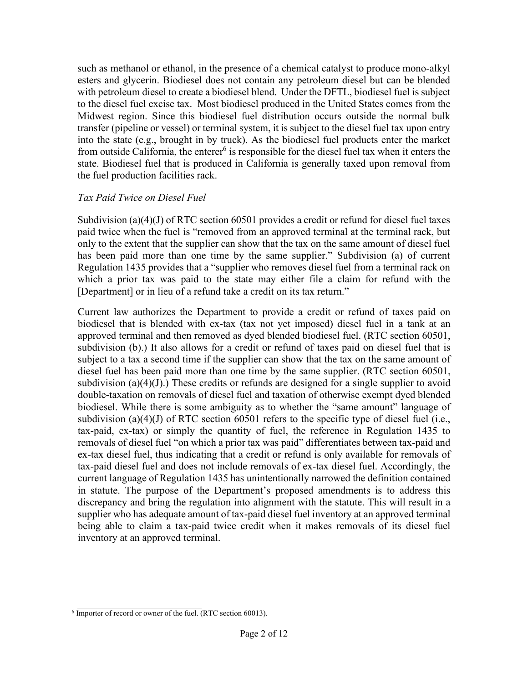such as methanol or ethanol, in the presence of a chemical catalyst to produce mono-alkyl esters and glycerin. Biodiesel does not contain any petroleum diesel but can be blended with petroleum diesel to create a biodiesel blend. Under the DFTL, biodiesel fuel is subject to the diesel fuel excise tax. Most biodiesel produced in the United States comes from the Midwest region. Since this biodiesel fuel distribution occurs outside the normal bulk transfer (pipeline or vessel) or terminal system, it is subject to the diesel fuel tax upon entry into the state (e.g., brought in by truck). As the biodiesel fuel products enter the market from outside California, the enterer<sup>6</sup> is responsible for the diesel fuel tax when it enters the state. Biodiesel fuel that is produced in California is generally taxed upon removal from the fuel production facilities rack.

### *Tax Paid Twice on Diesel Fuel*

Subdivision (a)(4)(J) of RTC section 60501 provides a credit or refund for diesel fuel taxes paid twice when the fuel is "removed from an approved terminal at the terminal rack, but only to the extent that the supplier can show that the tax on the same amount of diesel fuel has been paid more than one time by the same supplier." Subdivision (a) of current Regulation 1435 provides that a "supplier who removes diesel fuel from a terminal rack on which a prior tax was paid to the state may either file a claim for refund with the [Department] or in lieu of a refund take a credit on its tax return."

Current law authorizes the Department to provide a credit or refund of taxes paid on biodiesel that is blended with ex-tax (tax not yet imposed) diesel fuel in a tank at an approved terminal and then removed as dyed blended biodiesel fuel. (RTC section 60501, subdivision (b).) It also allows for a credit or refund of taxes paid on diesel fuel that is subject to a tax a second time if the supplier can show that the tax on the same amount of diesel fuel has been paid more than one time by the same supplier. (RTC section 60501, subdivision (a)(4)(J).) These credits or refunds are designed for a single supplier to avoid double-taxation on removals of diesel fuel and taxation of otherwise exempt dyed blended biodiesel. While there is some ambiguity as to whether the "same amount" language of subdivision (a)(4)(J) of RTC section 60501 refers to the specific type of diesel fuel (i.e., tax-paid, ex-tax) or simply the quantity of fuel, the reference in Regulation 1435 to removals of diesel fuel "on which a prior tax was paid" differentiates between tax-paid and ex-tax diesel fuel, thus indicating that a credit or refund is only available for removals of tax-paid diesel fuel and does not include removals of ex-tax diesel fuel. Accordingly, the current language of Regulation 1435 has unintentionally narrowed the definition contained in statute. The purpose of the Department's proposed amendments is to address this discrepancy and bring the regulation into alignment with the statute. This will result in a supplier who has adequate amount of tax-paid diesel fuel inventory at an approved terminal being able to claim a tax-paid twice credit when it makes removals of its diesel fuel inventory at an approved terminal.

 $6 \overline{\text{Importer of record or owner of the fuel.}}$  (RTC section 60013).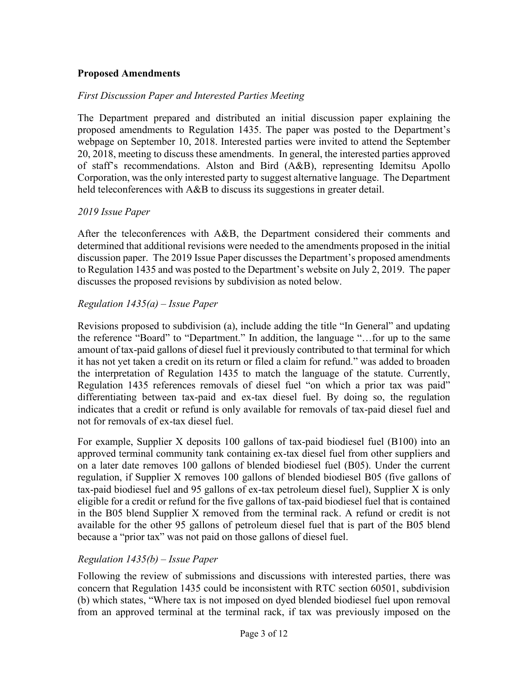### **Proposed Amendments**

### *First Discussion Paper and Interested Parties Meeting*

The Department prepared and distributed an initial discussion paper explaining the proposed amendments to Regulation 1435. The paper was posted to the Department's webpage on September 10, 2018. Interested parties were invited to attend the September 20, 2018, meeting to discuss these amendments. In general, the interested parties approved of staff's recommendations. Alston and Bird (A&B), representing Idemitsu Apollo Corporation, was the only interested party to suggest alternative language. The Department held teleconferences with A&B to discuss its suggestions in greater detail.

#### *2019 Issue Paper*

After the teleconferences with A&B, the Department considered their comments and determined that additional revisions were needed to the amendments proposed in the initial discussion paper. The 2019 Issue Paper discusses the Department's proposed amendments to Regulation 1435 and was posted to the Department's website on July 2, 2019. The paper discusses the proposed revisions by subdivision as noted below.

### *Regulation 1435(a) – Issue Paper*

Revisions proposed to subdivision (a), include adding the title "In General" and updating the reference "Board" to "Department." In addition, the language "…for up to the same amount of tax-paid gallons of diesel fuel it previously contributed to that terminal for which it has not yet taken a credit on its return or filed a claim for refund." was added to broaden the interpretation of Regulation 1435 to match the language of the statute. Currently, Regulation 1435 references removals of diesel fuel "on which a prior tax was paid" differentiating between tax-paid and ex-tax diesel fuel. By doing so, the regulation indicates that a credit or refund is only available for removals of tax-paid diesel fuel and not for removals of ex-tax diesel fuel.

For example, Supplier X deposits 100 gallons of tax-paid biodiesel fuel (B100) into an approved terminal community tank containing ex-tax diesel fuel from other suppliers and on a later date removes 100 gallons of blended biodiesel fuel (B05). Under the current regulation, if Supplier X removes 100 gallons of blended biodiesel B05 (five gallons of tax-paid biodiesel fuel and 95 gallons of ex-tax petroleum diesel fuel), Supplier X is only eligible for a credit or refund for the five gallons of tax-paid biodiesel fuel that is contained in the B05 blend Supplier X removed from the terminal rack. A refund or credit is not available for the other 95 gallons of petroleum diesel fuel that is part of the B05 blend because a "prior tax" was not paid on those gallons of diesel fuel.

### *Regulation 1435(b) – Issue Paper*

Following the review of submissions and discussions with interested parties, there was concern that Regulation 1435 could be inconsistent with RTC section 60501, subdivision (b) which states, "Where tax is not imposed on dyed blended biodiesel fuel upon removal from an approved terminal at the terminal rack, if tax was previously imposed on the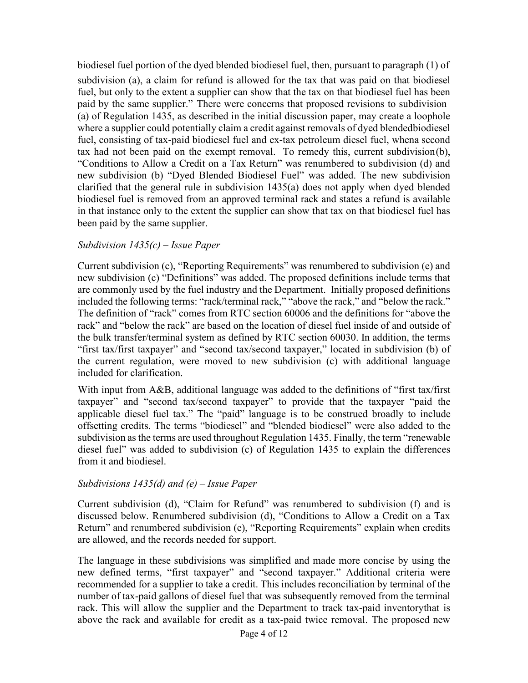biodiesel fuel portion of the dyed blended biodiesel fuel, then, pursuant to paragraph (1) of subdivision (a), a claim for refund is allowed for the tax that was paid on that biodiesel fuel, but only to the extent a supplier can show that the tax on that biodiesel fuel has been paid by the same supplier." There were concerns that proposed revisions to subdivision (a) of Regulation 1435, as described in the initial discussion paper, may create a loophole where a supplier could potentially claim a credit against removals of dyed blended biodiesel fuel, consisting of tax-paid biodiesel fuel and ex-tax petroleum diesel fuel, when a second tax had not been paid on the exempt removal. To remedy this, current subdivision (b), "Conditions to Allow a Credit on a Tax Return" was renumbered to subdivision (d) and new subdivision (b) "Dyed Blended Biodiesel Fuel" was added. The new subdivision clarified that the general rule in subdivision 1435(a) does not apply when dyed blended biodiesel fuel is removed from an approved terminal rack and states a refund is available in that instance only to the extent the supplier can show that tax on that biodiesel fuel has been paid by the same supplier.

### *Subdivision 1435(c) – Issue Paper*

Current subdivision (c), "Reporting Requirements" was renumbered to subdivision (e) and new subdivision (c) "Definitions" was added. The proposed definitions include terms that are commonly used by the fuel industry and the Department. Initially proposed definitions included the following terms: "rack/terminal rack," "above the rack," and "below the rack." The definition of "rack" comes from RTC section 60006 and the definitions for "above the rack" and "below the rack" are based on the location of diesel fuel inside of and outside of the bulk transfer/terminal system as defined by RTC section 60030. In addition, the terms "first tax/first taxpayer" and "second tax/second taxpayer," located in subdivision (b) of the current regulation, were moved to new subdivision (c) with additional language included for clarification.

With input from A&B, additional language was added to the definitions of "first tax/first" taxpayer" and "second tax/second taxpayer" to provide that the taxpayer "paid the applicable diesel fuel tax." The "paid" language is to be construed broadly to include offsetting credits. The terms "biodiesel" and "blended biodiesel" were also added to the subdivision as the terms are used throughout Regulation 1435. Finally, the term "renewable diesel fuel" was added to subdivision (c) of Regulation 1435 to explain the differences from it and biodiesel.

#### *Subdivisions 1435(d) and (e) – Issue Paper*

Current subdivision (d), "Claim for Refund" was renumbered to subdivision (f) and is discussed below. Renumbered subdivision (d), "Conditions to Allow a Credit on a Tax Return" and renumbered subdivision (e), "Reporting Requirements" explain when credits are allowed, and the records needed for support.

The language in these subdivisions was simplified and made more concise by using the new defined terms, "first taxpayer" and "second taxpayer." Additional criteria were recommended for a supplier to take a credit. This includes reconciliation by terminal of the number of tax-paid gallons of diesel fuel that was subsequently removed from the terminal rack. This will allow the supplier and the Department to track tax-paid inventorythat is above the rack and available for credit as a tax-paid twice removal. The proposed new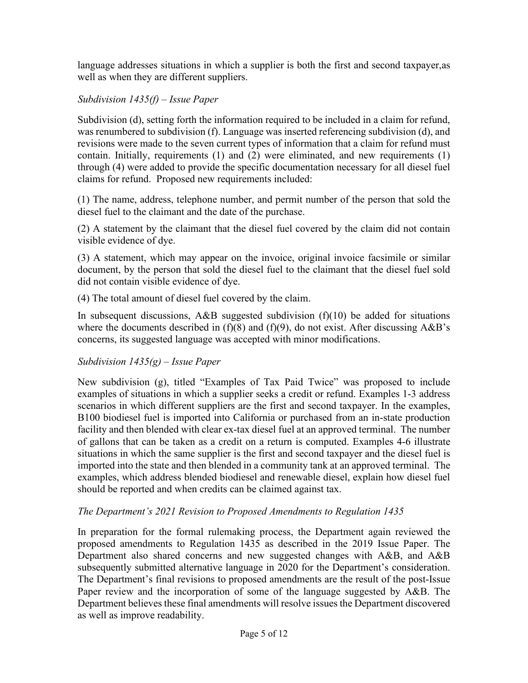language addresses situations in which a supplier is both the first and second taxpayer,as well as when they are different suppliers.

# *Subdivision 1435(f) – Issue Paper*

Subdivision (d), setting forth the information required to be included in a claim for refund, was renumbered to subdivision (f). Language was inserted referencing subdivision (d), and revisions were made to the seven current types of information that a claim for refund must contain. Initially, requirements (1) and (2) were eliminated, and new requirements (1) through (4) were added to provide the specific documentation necessary for all diesel fuel claims for refund. Proposed new requirements included:

(1) The name, address, telephone number, and permit number of the person that sold the diesel fuel to the claimant and the date of the purchase.

(2) A statement by the claimant that the diesel fuel covered by the claim did not contain visible evidence of dye.

(3) A statement, which may appear on the invoice, original invoice facsimile or similar document, by the person that sold the diesel fuel to the claimant that the diesel fuel sold did not contain visible evidence of dye.

(4) The total amount of diesel fuel covered by the claim.

In subsequent discussions,  $A\&B$  suggested subdivision (f)(10) be added for situations where the documents described in  $(f)(8)$  and  $(f)(9)$ , do not exist. After discussing A&B's concerns, its suggested language was accepted with minor modifications.

## *Subdivision 1435(g) – Issue Paper*

New subdivision (g), titled "Examples of Tax Paid Twice" was proposed to include examples of situations in which a supplier seeks a credit or refund. Examples 1-3 address scenarios in which different suppliers are the first and second taxpayer. In the examples, B100 biodiesel fuel is imported into California or purchased from an in-state production facility and then blended with clear ex-tax diesel fuel at an approved terminal. The number of gallons that can be taken as a credit on a return is computed. Examples 4-6 illustrate situations in which the same supplier is the first and second taxpayer and the diesel fuel is imported into the state and then blended in a community tank at an approved terminal. The examples, which address blended biodiesel and renewable diesel, explain how diesel fuel should be reported and when credits can be claimed against tax.

## *The Department's 2021 Revision to Proposed Amendments to Regulation 1435*

In preparation for the formal rulemaking process, the Department again reviewed the proposed amendments to Regulation 1435 as described in the 2019 Issue Paper. The Department also shared concerns and new suggested changes with A&B, and A&B subsequently submitted alternative language in 2020 for the Department's consideration. The Department's final revisions to proposed amendments are the result of the post-Issue Paper review and the incorporation of some of the language suggested by A&B. The Department believes these final amendments will resolve issues the Department discovered as well as improve readability.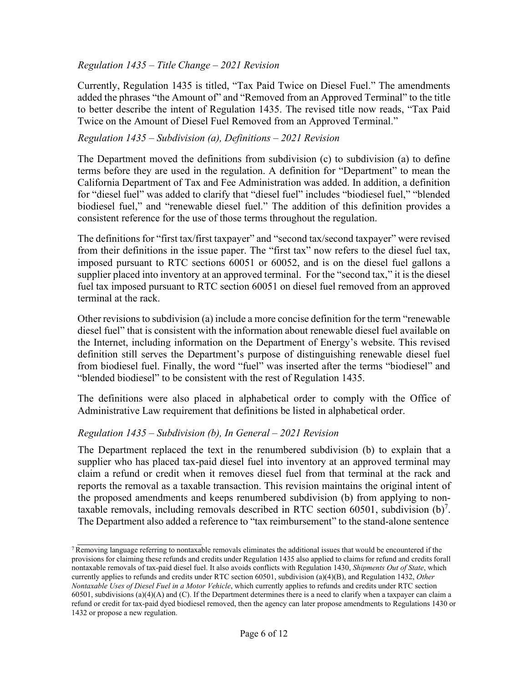### *Regulation 1435 – Title Change – 2021 Revision*

Currently, Regulation 1435 is titled, "Tax Paid Twice on Diesel Fuel." The amendments added the phrases "the Amount of" and "Removed from an Approved Terminal" to the title to better describe the intent of Regulation 1435. The revised title now reads, "Tax Paid Twice on the Amount of Diesel Fuel Removed from an Approved Terminal."

### *Regulation 1435 – Subdivision (a), Definitions – 2021 Revision*

The Department moved the definitions from subdivision (c) to subdivision (a) to define terms before they are used in the regulation. A definition for "Department" to mean the California Department of Tax and Fee Administration was added. In addition, a definition for "diesel fuel" was added to clarify that "diesel fuel" includes "biodiesel fuel," "blended biodiesel fuel," and "renewable diesel fuel." The addition of this definition provides a consistent reference for the use of those terms throughout the regulation.

The definitions for "first tax/first taxpayer" and "second tax/second taxpayer" were revised from their definitions in the issue paper. The "first tax" now refers to the diesel fuel tax, imposed pursuant to RTC sections 60051 or 60052, and is on the diesel fuel gallons a supplier placed into inventory at an approved terminal. For the "second tax," it is the diesel fuel tax imposed pursuant to RTC section 60051 on diesel fuel removed from an approved terminal at the rack.

Other revisions to subdivision (a) include a more concise definition for the term "renewable diesel fuel" that is consistent with the information about renewable diesel fuel available on the Internet, including information on the Department of Energy's website. This revised definition still serves the Department's purpose of distinguishing renewable diesel fuel from biodiesel fuel. Finally, the word "fuel" was inserted after the terms "biodiesel" and "blended biodiesel" to be consistent with the rest of Regulation 1435.

The definitions were also placed in alphabetical order to comply with the Office of Administrative Law requirement that definitions be listed in alphabetical order.

### *Regulation 1435 – Subdivision (b), In General – 2021 Revision*

The Department replaced the text in the renumbered subdivision (b) to explain that a supplier who has placed tax-paid diesel fuel into inventory at an approved terminal may claim a refund or credit when it removes diesel fuel from that terminal at the rack and reports the removal as a taxable transaction. This revision maintains the original intent of the proposed amendments and keeps renumbered subdivision (b) from applying to nontaxable removals, including removals described in RTC section 60501, subdivision  $(b)^7$ . The Department also added a reference to "tax reimbursement" to the stand-alone sentence

 $7$  Removing language referring to nontaxable removals eliminates the additional issues that would be encountered if the provisions for claiming these refunds and credits under Regulation 1435 also applied to claims for refund and credits for all nontaxable removals of tax-paid diesel fuel. It also avoids conflicts with Regulation 1430, *Shipments Out of State*, which currently applies to refunds and credits under RTC section 60501, subdivision (a)(4)(B), and Regulation 1432, *Other Nontaxable Uses of Diesel Fuel in a Motor Vehicle*, which currently applies to refunds and credits under RTC section 60501, subdivisions  $(a)(4)(A)$  and  $(C)$ . If the Department determines there is a need to clarify when a taxpayer can claim a refund or credit for tax-paid dyed biodiesel removed, then the agency can later propose amendments to Regulations 1430 or 1432 or propose a new regulation.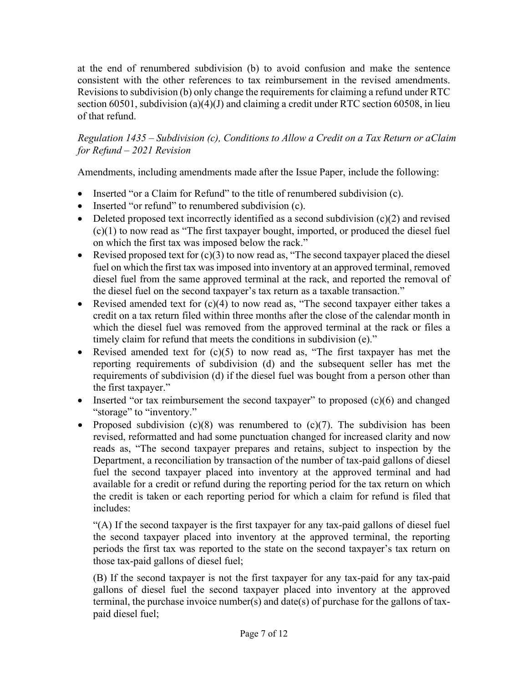at the end of renumbered subdivision (b) to avoid confusion and make the sentence consistent with the other references to tax reimbursement in the revised amendments. Revisionsto subdivision (b) only change the requirements for claiming a refund under RTC section 60501, subdivision (a)(4)(J) and claiming a credit under RTC section 60508, in lieu of that refund.

*Regulation 1435 – Subdivision (c), Conditions to Allow a Credit on a Tax Return or aClaim for Refund – 2021 Revision* 

Amendments, including amendments made after the Issue Paper, include the following:

- Inserted "or a Claim for Refund" to the title of renumbered subdivision (c).
- Inserted "or refund" to renumbered subdivision (c).
- Deleted proposed text incorrectly identified as a second subdivision  $(c)(2)$  and revised (c)(1) to now read as "The first taxpayer bought, imported, or produced the diesel fuel on which the first tax was imposed below the rack."
- Revised proposed text for  $(c)(3)$  to now read as, "The second taxpayer placed the diesel fuel on which the first tax was imposed into inventory at an approved terminal, removed diesel fuel from the same approved terminal at the rack, and reported the removal of the diesel fuel on the second taxpayer's tax return as a taxable transaction."
- Revised amended text for  $(c)(4)$  to now read as, "The second taxpayer either takes a credit on a tax return filed within three months after the close of the calendar month in which the diesel fuel was removed from the approved terminal at the rack or files a timely claim for refund that meets the conditions in subdivision (e)."
- Revised amended text for  $(c)(5)$  to now read as, "The first taxpayer has met the reporting requirements of subdivision (d) and the subsequent seller has met the requirements of subdivision (d) if the diesel fuel was bought from a person other than the first taxpayer."
- Inserted "or tax reimbursement the second taxpayer" to proposed (c)(6) and changed "storage" to "inventory."
- Proposed subdivision  $(c)(8)$  was renumbered to  $(c)(7)$ . The subdivision has been revised, reformatted and had some punctuation changed for increased clarity and now reads as, "The second taxpayer prepares and retains, subject to inspection by the Department, a reconciliation by transaction of the number of tax-paid gallons of diesel fuel the second taxpayer placed into inventory at the approved terminal and had available for a credit or refund during the reporting period for the tax return on which the credit is taken or each reporting period for which a claim for refund is filed that includes:

"(A) If the second taxpayer is the first taxpayer for any tax-paid gallons of diesel fuel the second taxpayer placed into inventory at the approved terminal, the reporting periods the first tax was reported to the state on the second taxpayer's tax return on those tax-paid gallons of diesel fuel;

(B) If the second taxpayer is not the first taxpayer for any tax-paid for any tax-paid gallons of diesel fuel the second taxpayer placed into inventory at the approved terminal, the purchase invoice number(s) and date(s) of purchase for the gallons of taxpaid diesel fuel;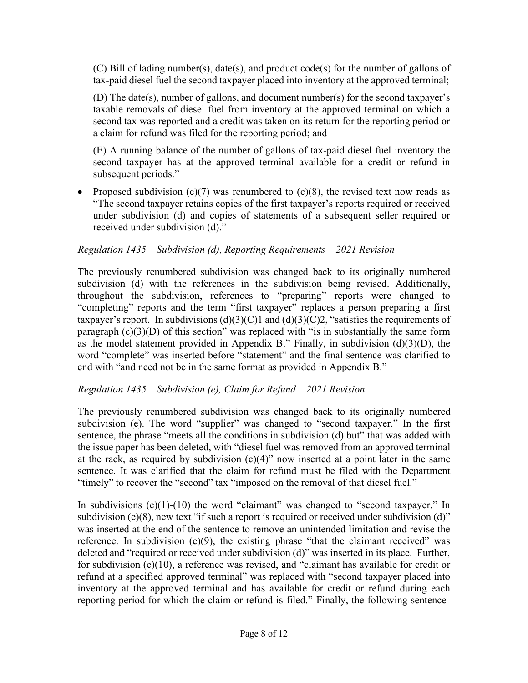(C) Bill of lading number(s), date(s), and product code(s) for the number of gallons of tax-paid diesel fuel the second taxpayer placed into inventory at the approved terminal;

(D) The date(s), number of gallons, and document number(s) for the second taxpayer's taxable removals of diesel fuel from inventory at the approved terminal on which a second tax was reported and a credit was taken on its return for the reporting period or a claim for refund was filed for the reporting period; and

(E) A running balance of the number of gallons of tax-paid diesel fuel inventory the second taxpayer has at the approved terminal available for a credit or refund in subsequent periods."

• Proposed subdivision  $(c)(7)$  was renumbered to  $(c)(8)$ , the revised text now reads as "The second taxpayer retains copies of the first taxpayer's reports required or received under subdivision (d) and copies of statements of a subsequent seller required or received under subdivision (d)."

## *Regulation 1435 – Subdivision (d), Reporting Requirements – 2021 Revision*

The previously renumbered subdivision was changed back to its originally numbered subdivision (d) with the references in the subdivision being revised. Additionally, throughout the subdivision, references to "preparing" reports were changed to "completing" reports and the term "first taxpayer" replaces a person preparing a first taxpayer's report. In subdivisions  $(d)(3)(C)1$  and  $(d)(3)(C)2$ , "satisfies the requirements of paragraph  $(c)(3)(D)$  of this section" was replaced with "is in substantially the same form as the model statement provided in Appendix B." Finally, in subdivision  $(d)(3)(D)$ , the word "complete" was inserted before "statement" and the final sentence was clarified to end with "and need not be in the same format as provided in Appendix B."

### *Regulation 1435 – Subdivision (e), Claim for Refund – 2021 Revision*

The previously renumbered subdivision was changed back to its originally numbered subdivision (e). The word "supplier" was changed to "second taxpayer." In the first sentence, the phrase "meets all the conditions in subdivision (d) but" that was added with the issue paper has been deleted, with "diesel fuel was removed from an approved terminal at the rack, as required by subdivision  $(c)(4)$ " now inserted at a point later in the same sentence. It was clarified that the claim for refund must be filed with the Department "timely" to recover the "second" tax "imposed on the removal of that diesel fuel."

In subdivisions (e)(1)-(10) the word "claimant" was changed to "second taxpayer." In subdivision (e)(8), new text "if such a report is required or received under subdivision (d)" was inserted at the end of the sentence to remove an unintended limitation and revise the reference. In subdivision (e)(9), the existing phrase "that the claimant received" was deleted and "required or received under subdivision (d)" was inserted in its place. Further, for subdivision (e)(10), a reference was revised, and "claimant has available for credit or refund at a specified approved terminal" was replaced with "second taxpayer placed into inventory at the approved terminal and has available for credit or refund during each reporting period for which the claim or refund is filed." Finally, the following sentence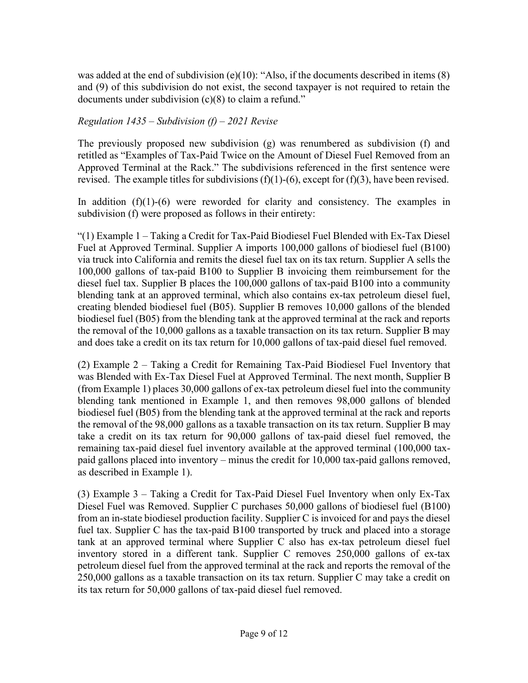was added at the end of subdivision (e)(10): "Also, if the documents described in items  $(8)$ and (9) of this subdivision do not exist, the second taxpayer is not required to retain the documents under subdivision (c)(8) to claim a refund."

### *Regulation 1435 – Subdivision (f) – 2021 Revise*

The previously proposed new subdivision (g) was renumbered as subdivision (f) and retitled as "Examples of Tax-Paid Twice on the Amount of Diesel Fuel Removed from an Approved Terminal at the Rack." The subdivisions referenced in the first sentence were revised. The example titles for subdivisions  $(f)(1)-(6)$ , except for  $(f)(3)$ , have been revised.

In addition  $(f)(1)-(6)$  were reworded for clarity and consistency. The examples in subdivision (f) were proposed as follows in their entirety:

"(1) Example 1 – Taking a Credit for Tax-Paid Biodiesel Fuel Blended with Ex-Tax Diesel Fuel at Approved Terminal. Supplier A imports 100,000 gallons of biodiesel fuel (B100) via truck into California and remits the diesel fuel tax on its tax return. Supplier A sells the 100,000 gallons of tax-paid B100 to Supplier B invoicing them reimbursement for the diesel fuel tax. Supplier B places the 100,000 gallons of tax-paid B100 into a community blending tank at an approved terminal, which also contains ex-tax petroleum diesel fuel, creating blended biodiesel fuel (B05). Supplier B removes 10,000 gallons of the blended biodiesel fuel (B05) from the blending tank at the approved terminal at the rack and reports the removal of the 10,000 gallons as a taxable transaction on its tax return. Supplier B may and does take a credit on its tax return for 10,000 gallons of tax-paid diesel fuel removed.

(2) Example 2 – Taking a Credit for Remaining Tax-Paid Biodiesel Fuel Inventory that was Blended with Ex-Tax Diesel Fuel at Approved Terminal. The next month, Supplier B (from Example 1) places 30,000 gallons of ex-tax petroleum diesel fuel into the community blending tank mentioned in Example 1, and then removes 98,000 gallons of blended biodiesel fuel (B05) from the blending tank at the approved terminal at the rack and reports the removal of the 98,000 gallons as a taxable transaction on its tax return. Supplier B may take a credit on its tax return for 90,000 gallons of tax-paid diesel fuel removed, the remaining tax-paid diesel fuel inventory available at the approved terminal (100,000 taxpaid gallons placed into inventory – minus the credit for 10,000 tax-paid gallons removed, as described in Example 1).

(3) Example 3 – Taking a Credit for Tax-Paid Diesel Fuel Inventory when only Ex-Tax Diesel Fuel was Removed. Supplier C purchases 50,000 gallons of biodiesel fuel (B100) from an in-state biodiesel production facility. Supplier C is invoiced for and pays the diesel fuel tax. Supplier C has the tax-paid B100 transported by truck and placed into a storage tank at an approved terminal where Supplier C also has ex-tax petroleum diesel fuel inventory stored in a different tank. Supplier C removes 250,000 gallons of ex-tax petroleum diesel fuel from the approved terminal at the rack and reports the removal of the 250,000 gallons as a taxable transaction on its tax return. Supplier C may take a credit on its tax return for 50,000 gallons of tax-paid diesel fuel removed.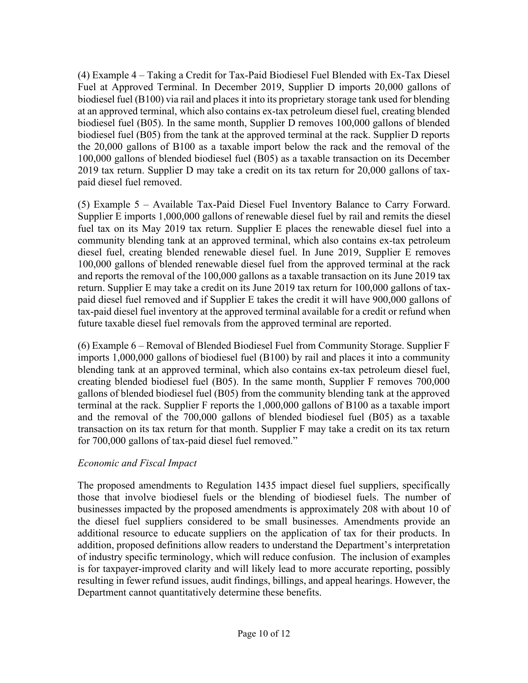(4) Example 4 – Taking a Credit for Tax-Paid Biodiesel Fuel Blended with Ex-Tax Diesel Fuel at Approved Terminal. In December 2019, Supplier D imports 20,000 gallons of biodiesel fuel (B100) via rail and places it into its proprietary storage tank used for blending at an approved terminal, which also contains ex-tax petroleum diesel fuel, creating blended biodiesel fuel (B05). In the same month, Supplier D removes 100,000 gallons of blended biodiesel fuel (B05) from the tank at the approved terminal at the rack. Supplier D reports the 20,000 gallons of B100 as a taxable import below the rack and the removal of the 100,000 gallons of blended biodiesel fuel (B05) as a taxable transaction on its December 2019 tax return. Supplier D may take a credit on its tax return for 20,000 gallons of taxpaid diesel fuel removed.

(5) Example 5 – Available Tax-Paid Diesel Fuel Inventory Balance to Carry Forward. Supplier E imports 1,000,000 gallons of renewable diesel fuel by rail and remits the diesel fuel tax on its May 2019 tax return. Supplier E places the renewable diesel fuel into a community blending tank at an approved terminal, which also contains ex-tax petroleum diesel fuel, creating blended renewable diesel fuel. In June 2019, Supplier E removes 100,000 gallons of blended renewable diesel fuel from the approved terminal at the rack and reports the removal of the 100,000 gallons as a taxable transaction on its June 2019 tax return. Supplier E may take a credit on its June 2019 tax return for 100,000 gallons of taxpaid diesel fuel removed and if Supplier E takes the credit it will have 900,000 gallons of tax-paid diesel fuel inventory at the approved terminal available for a credit or refund when future taxable diesel fuel removals from the approved terminal are reported.

(6) Example 6 – Removal of Blended Biodiesel Fuel from Community Storage. Supplier F imports 1,000,000 gallons of biodiesel fuel (B100) by rail and places it into a community blending tank at an approved terminal, which also contains ex-tax petroleum diesel fuel, creating blended biodiesel fuel (B05). In the same month, Supplier F removes 700,000 gallons of blended biodiesel fuel (B05) from the community blending tank at the approved terminal at the rack. Supplier F reports the 1,000,000 gallons of B100 as a taxable import and the removal of the 700,000 gallons of blended biodiesel fuel (B05) as a taxable transaction on its tax return for that month. Supplier F may take a credit on its tax return for 700,000 gallons of tax-paid diesel fuel removed."

## *Economic and Fiscal Impact*

The proposed amendments to Regulation 1435 impact diesel fuel suppliers, specifically those that involve biodiesel fuels or the blending of biodiesel fuels. The number of businesses impacted by the proposed amendments is approximately 208 with about 10 of the diesel fuel suppliers considered to be small businesses. Amendments provide an additional resource to educate suppliers on the application of tax for their products. In addition, proposed definitions allow readers to understand the Department's interpretation of industry specific terminology, which will reduce confusion. The inclusion of examples is for taxpayer-improved clarity and will likely lead to more accurate reporting, possibly resulting in fewer refund issues, audit findings, billings, and appeal hearings. However, the Department cannot quantitatively determine these benefits.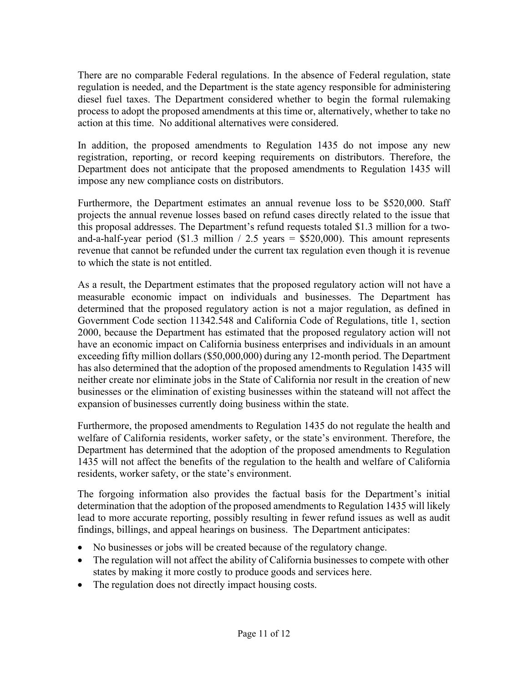There are no comparable Federal regulations. In the absence of Federal regulation, state regulation is needed, and the Department is the state agency responsible for administering diesel fuel taxes. The Department considered whether to begin the formal rulemaking process to adopt the proposed amendments at this time or, alternatively, whether to take no action at this time. No additional alternatives were considered.

In addition, the proposed amendments to Regulation 1435 do not impose any new registration, reporting, or record keeping requirements on distributors. Therefore, the Department does not anticipate that the proposed amendments to Regulation 1435 will impose any new compliance costs on distributors.

Furthermore, the Department estimates an annual revenue loss to be \$520,000. Staff projects the annual revenue losses based on refund cases directly related to the issue that this proposal addresses. The Department's refund requests totaled \$1.3 million for a twoand-a-half-year period (\$1.3 million / 2.5 years =  $$520,000$ ). This amount represents revenue that cannot be refunded under the current tax regulation even though it is revenue to which the state is not entitled.

As a result, the Department estimates that the proposed regulatory action will not have a measurable economic impact on individuals and businesses. The Department has determined that the proposed regulatory action is not a major regulation, as defined in Government Code section 11342.548 and California Code of Regulations, title 1, section 2000, because the Department has estimated that the proposed regulatory action will not have an economic impact on California business enterprises and individuals in an amount exceeding fifty million dollars (\$50,000,000) during any 12-month period. The Department has also determined that the adoption of the proposed amendments to Regulation 1435 will neither create nor eliminate jobs in the State of California nor result in the creation of new businesses or the elimination of existing businesses within the stateand will not affect the expansion of businesses currently doing business within the state.

Furthermore, the proposed amendments to Regulation 1435 do not regulate the health and welfare of California residents, worker safety, or the state's environment. Therefore, the Department has determined that the adoption of the proposed amendments to Regulation 1435 will not affect the benefits of the regulation to the health and welfare of California residents, worker safety, or the state's environment.

The forgoing information also provides the factual basis for the Department's initial determination that the adoption of the proposed amendments to Regulation 1435 will likely lead to more accurate reporting, possibly resulting in fewer refund issues as well as audit findings, billings, and appeal hearings on business. The Department anticipates:

- No businesses or jobs will be created because of the regulatory change.
- The regulation will not affect the ability of California businesses to compete with other states by making it more costly to produce goods and services here.
- The regulation does not directly impact housing costs.